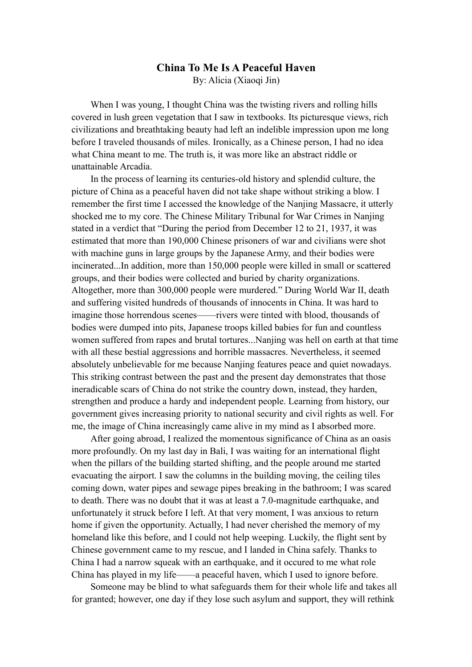## **China To Me Is A Peaceful Haven** By: Alicia (Xiaoqi Jin)

When I was young, I thought China was the twisting rivers and rolling hills covered in lush green vegetation that I saw in textbooks. Its picturesque views, rich civilizations and breathtaking beauty had left an indelible impression upon me long before I traveled thousands of miles. Ironically, as a Chinese person, I had no idea what China meant to me. The truth is, it was more like an abstract riddle or unattainable Arcadia.

In the process of learning its centuries-old history and splendid culture, the picture of China as a peaceful haven did not take shape without striking a blow. I remember the first time I accessed the knowledge of the Nanjing Massacre, it utterly shocked me to my core. The Chinese Military Tribunal for War Crimes in Nanjing stated in a verdict that "During the period from December 12 to 21, 1937, it was estimated that more than 190,000 Chinese prisoners of war and civilians were shot with machine guns in large groups by the Japanese Army, and their bodies were incinerated...In addition, more than 150,000 people were killed in small or scattered groups, and their bodies were collected and buried by charity organizations. Altogether, more than 300,000 people were murdered." During World War II, death and suffering visited hundreds of thousands of innocents in China. It was hard to imagine those horrendous scenes——rivers were tinted with blood, thousands of bodies were dumped into pits, Japanese troops killed babies for fun and countless women suffered from rapes and brutal tortures...Nanjing was hell on earth at that time with all these bestial aggressions and horrible massacres. Nevertheless, it seemed absolutely unbelievable for me because Nanjing features peace and quiet nowadays. This striking contrast between the past and the present day demonstrates that those ineradicable scars of China do not strike the country down, instead, they harden, strengthen and produce a hardy and independent people. Learning from history, our government gives increasing priority to national security and civil rights as well. For me, the image of China increasingly came alive in my mind as I absorbed more.

After going abroad, I realized the momentous significance of China as an oasis more profoundly. On my last day in Bali, I was waiting for an international flight when the pillars of the building started shifting, and the people around me started evacuating the airport. I saw the columns in the building moving, the ceiling tiles coming down, water pipes and sewage pipes breaking in the bathroom; I was scared to death. There was no doubt that it was at least a 7.0-magnitude earthquake, and unfortunately it struck before I left. At that very moment, I was anxious to return home if given the opportunity. Actually, I had never cherished the memory of my homeland like this before, and I could not help weeping. Luckily, the flight sent by Chinese government came to my rescue, and I landed in China safely. Thanks to China I had a narrow squeak with an earthquake, and it occured to me what role China has played in my life——a peaceful haven, which I used to ignore before.

Someone may be blind to what safeguards them for their whole life and takes all for granted; however, one day if they lose such asylum and support, they will rethink